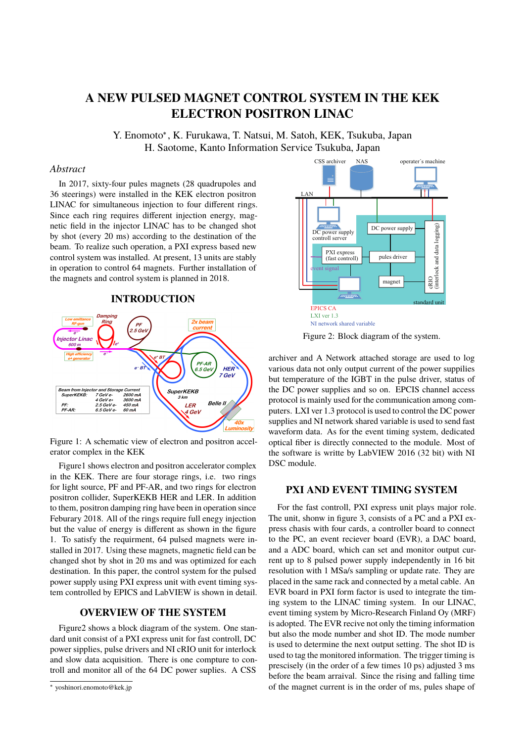# **A NEW PULSED MAGNET CONTROL SYSTEM IN THE KEK ELECTRON POSITRON LINAC**

Y. Enomoto<sup>∗</sup> , K. Furukawa, T. Natsui, M. Satoh, KEK, Tsukuba, Japan H. Saotome, Kanto Information Service Tsukuba, Japan

#### *Abstract*

In 2017, sixty-four pules magnets (28 quadrupoles and 36 steerings) were installed in the KEK electron positron LINAC for simultaneous injection to four different rings. Since each ring requires different injection energy, magnetic field in the injector LINAC has to be changed shot by shot (every 20 ms) according to the destination of the beam. To realize such operation, a PXI express based new control system was installed. At present, 13 units are stably in operation to control 64 magnets. Further installation of the magnets and control system is planned in 2018.

#### **INTRODUCTION**



Figure 1: A schematic view of electron and positron accelerator complex in the KEK

Figure1 shows electron and positron accelerator complex in the KEK. There are four storage rings, i.e. two rings for light source, PF and PF-AR, and two rings for electron positron collider, SuperKEKB HER and LER. In addition to them, positron damping ring have been in operation since Feburary 2018. All of the rings require full enegy injection but the value of energy is different as shown in the figure 1. To satisfy the requirment, 64 pulsed magnets were installed in 2017. Using these magnets, magnetic field can be changed shot by shot in 20 ms and was optimized for each destination. In this paper, the control system for the pulsed power supply using PXI express unit with event timing system controlled by EPICS and LabVIEW is shown in detail.

### **OVERVIEW OF THE SYSTEM**

Figure2 shows a block diagram of the system. One standard unit consist of a PXI express unit for fast controll, DC power sipplies, pulse drivers and NI cRIO unit for interlock and slow data acquisition. There is one compture to controll and monitor all of the 64 DC power suplies. A CSS



Figure 2: Block diagram of the system.

archiver and A Network attached storage are used to log various data not only output current of the power suppilies but temperature of the IGBT in the pulse driver, status of the DC power supplies and so on. EPCIS channel access protocol is mainly used for the communication among computers. LXI ver 1.3 protocol is used to control the DC power supplies and NI network shared variable is used to send fast waveform data. As for the event timing system, dedicated optical fiber is directly connected to the module. Most of the software is writte by LabVIEW 2016 (32 bit) with NI DSC module.

#### **PXI AND EVENT TIMING SYSTEM**

For the fast controll, PXI express unit plays major role. The unit, shonw in figure 3, consists of a PC and a PXI express chasis with four cards, a controller board to connect to the PC, an event reciever board (EVR), a DAC board, and a ADC board, which can set and monitor output current up to 8 pulsed power supply independently in 16 bit resolution with 1 MSa/s sampling or update rate. They are placed in the same rack and connected by a metal cable. An EVR board in PXI form factor is used to integrate the timing system to the LINAC timing system. In our LINAC, event timing system by Micro-Research Finland Oy (MRF) is adopted. The EVR recive not only the timing information but also the mode number and shot ID. The mode number is used to determine the next output setting. The shot ID is used to tag the monitored information. The trigger timing is prescisely (in the order of a few times 10 ps) adjusted 3 ms before the beam arraival. Since the rising and falling time of the magnet current is in the order of ms, pules shape of

<sup>∗</sup> yoshinori.enomoto@kek.jp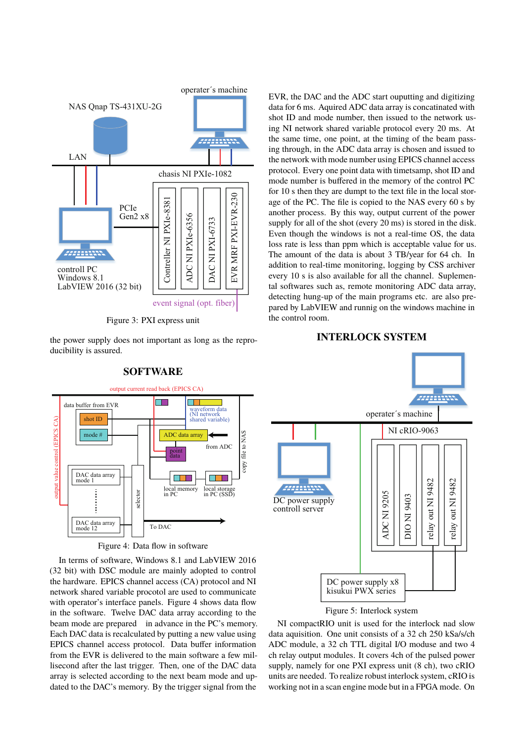

Figure 3: PXI express unit

the power supply does not important as long as the reproducibility is assured.



**SOFTWARE**

Figure 4: Data flow in software

In terms of software, Windows 8.1 and LabVIEW 2016 (32 bit) with DSC module are mainly adopted to control the hardware. EPICS channel access (CA) protocol and NI network shared variable procotol are used to communicate with operator's interface panels. Figure 4 shows data flow in the software. Twelve DAC data array according to the beam mode are prepared in advance in the PC's memory. Each DAC data is recalculated by putting a new value using EPICS channel access protocol. Data buffer information from the EVR is delivered to the main software a few millisecond after the last trigger. Then, one of the DAC data array is selected according to the next beam mode and updated to the DAC's memory. By the trigger signal from the

EVR, the DAC and the ADC start ouputting and digitizing data for 6 ms. Aquired ADC data array is concatinated with shot ID and mode number, then issued to the network using NI network shared variable protocol every 20 ms. At the same time, one point, at the timing of the beam passing through, in the ADC data array is chosen and issued to the network with mode number using EPICS channel access protocol. Every one point data with timetsamp, shot ID and mode number is buffered in the memory of the control PC for 10 s then they are dumpt to the text file in the local storage of the PC. The file is copied to the NAS every 60 s by another process. By this way, output current of the power supply for all of the shot (every 20 ms) is stored in the disk. Even though the windows is not a real-time OS, the data loss rate is less than ppm which is acceptable value for us. The amount of the data is about 3 TB/year for 64 ch. In addition to real-time monitoring, logging by CSS archiver every 10 s is also available for all the channel. Suplemental softwares such as, remote monitoring ADC data array, detecting hung-up of the main programs etc. are also prepared by LabVIEW and runnig on the windows machine in the control room.

#### **INTERLOCK SYSTEM**



### Figure 5: Interlock system

NI compactRIO unit is used for the interlock nad slow data aquisition. One unit consists of a 32 ch 250 kSa/s/ch ADC module, a 32 ch TTL digital I/O moduse and two 4 ch relay output modules. It covers 4ch of the pulsed power supply, namely for one PXI express unit (8 ch), two cRIO units are needed. To realize robust interlock system, cRIO is working not in a scan engine mode but in a FPGA mode. On